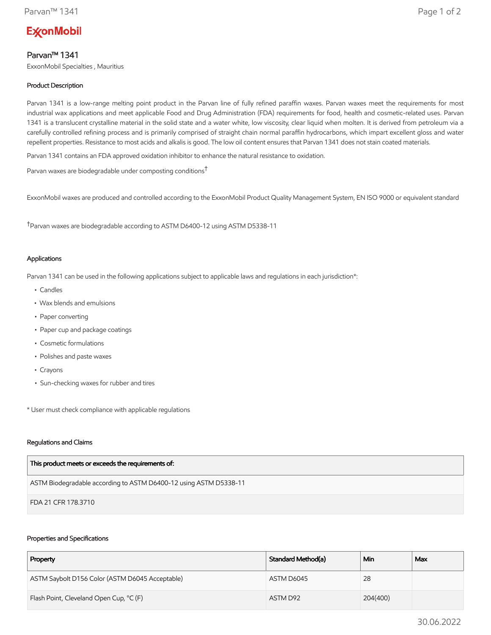# **ExconMobil**

# Parvan™ 1341

ExxonMobil Specialties , Mauritius

# Product Description

Parvan 1341 is a low-range melting point product in the Parvan line of fully refined paraffin waxes. Parvan waxes meet the requirements for most industrial wax applications and meet applicable Food and Drug Administration (FDA) requirements for food, health and cosmetic-related uses. Parvan 1341 is a translucent crystalline material in the solid state and a water white, low viscosity, clear liquid when molten. It is derived from petroleum via a carefully controlled refining process and is primarily comprised of straight chain normal paraffin hydrocarbons, which impart excellent gloss and water repellent properties. Resistance to most acids and alkalis is good. The low oil content ensures that Parvan 1341 does not stain coated materials.

Parvan 1341 contains an FDA approved oxidation inhibitor to enhance the natural resistance to oxidation.

Parvan waxes are biodegradable under composting conditions†

ExxonMobil waxes are produced and controlled according to the ExxonMobil Product Quality Management System, EN ISO 9000 or equivalent standard

†Parvan waxes are biodegradable according to ASTM D6400-12 using ASTM D5338-11

## Applications

Parvan 1341 can be used in the following applications subject to applicable laws and regulations in each jurisdiction\*:

- Candles
- Wax blends and emulsions
- Paper converting
- Paper cup and package coatings
- Cosmetic formulations
- Polishes and paste waxes
- Crayons
- Sun-checking waxes for rubber and tires

\* User must check compliance with applicable regulations

### Regulations and Claims

| This product meets or exceeds the requirements of:                |
|-------------------------------------------------------------------|
| ASTM Biodegradable according to ASTM D6400-12 using ASTM D5338-11 |
| FDA 21 CFR 178.3710                                               |

## Properties and Specifications

| Property                                        | Standard Method(a) | Min      | Max |
|-------------------------------------------------|--------------------|----------|-----|
| ASTM Saybolt D156 Color (ASTM D6045 Acceptable) | ASTM D6045         | 28       |     |
| Flash Point, Cleveland Open Cup, °C (F)         | ASTM D92           | 204(400) |     |